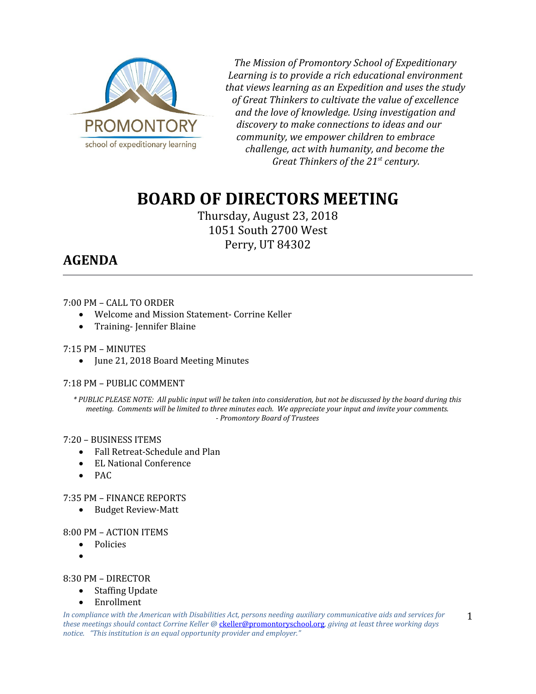

*The Mission of Promontory School of Expeditionary Learning is to provide a rich educational environment that views learning as an Expedition and uses the study of Great Thinkers to cultivate the value of excellence and the love of knowledge. Using investigation and discovery to make connections to ideas and our community, we empower children to embrace challenge, act with humanity, and become the Great Thinkers of the 21st century.*

# **BOARD OF DIRECTORS MEETING**

Thursday, August 23, 2018 1051 South 2700 West Perry, UT 84302

## **AGENDA**

#### 7:00 PM – CALL TO ORDER

- Welcome and Mission Statement- Corrine Keller
- Training- Jennifer Blaine

#### 7:15 PM – MINUTES

• June 21, 2018 Board Meeting Minutes

#### 7:18 PM – PUBLIC COMMENT

*\* PUBLIC PLEASE NOTE: All public input will be taken into consideration, but not be discussed by the board during this meeting. Comments will be limited to three minutes each. We appreciate your input and invite your comments. - Promontory Board of Trustees*

#### 7:20 – BUSINESS ITEMS

- Fall Retreat-Schedule and Plan
- EL National Conference
- $\bullet$  PAC

### 7:35 PM – FINANCE REPORTS

• Budget Review-Matt

#### 8:00 PM – ACTION ITEMS

- Policies
- $\bullet$

#### 8:30 PM – DIRECTOR

- Staffing Update
	- Enrollment

*In compliance with the American with Disabilities Act, persons needing auxiliary communicative aids and services for these meetings should contact Corrine Keller @* [ckeller@promontoryschool.org](mailto:ckeller@promontoryschool.org)*, giving at least three working days notice. "This institution is an equal opportunity provider and employer."*

1